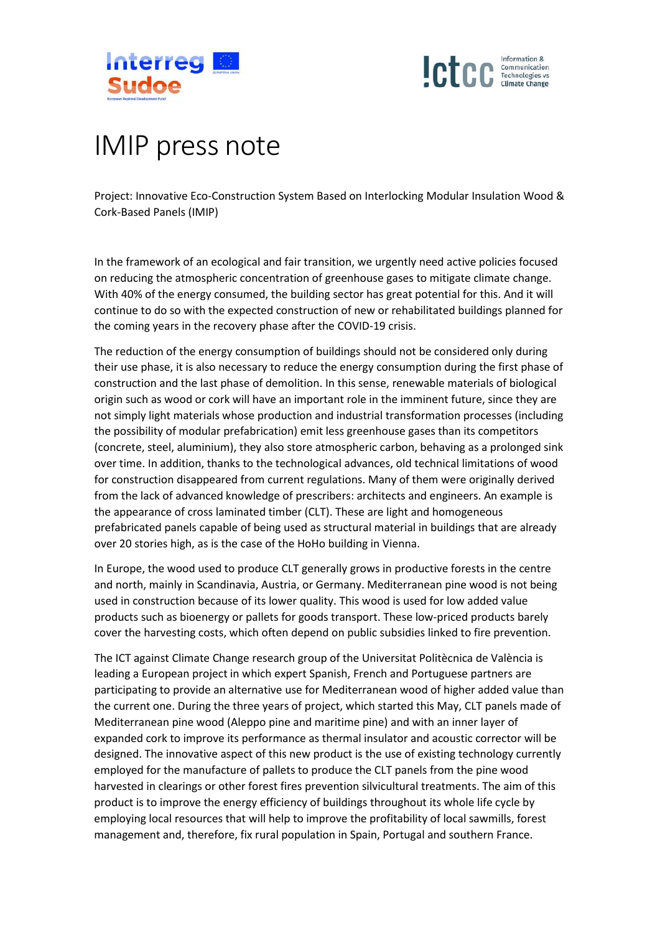



## IMIP press note

Project: Innovative Eco-Construction System Based on Interlocking Modular Insulation Wood & Cork-Based Panels (IMIP)

In the framework of an ecological and fair transition, we urgently need active policies focused on reducing the atmospheric concentration of greenhouse gases to mitigate climate change. With 40% of the energy consumed, the building sector has great potential for this. And it will continue to do so with the expected construction of new or rehabilitated buildings planned for the coming years in the recovery phase after the COVID-19 crisis.

The reduction of the energy consumption of buildings should not be considered only during their use phase, it is also necessary to reduce the energy consumption during the first phase of construction and the last phase of demolition. In this sense, renewable materials of biological origin such as wood or cork will have an important role in the imminent future, since they are not simply light materials whose production and industrial transformation processes (including the possibility of modular prefabrication) emit less greenhouse gases than its competitors (concrete, steel, aluminium), they also store atmospheric carbon, behaving as a prolonged sink over time. In addition, thanks to the technological advances, old technical limitations of wood for construction disappeared from current regulations. Many of them were originally derived from the lack of advanced knowledge of prescribers: architects and engineers. An example is the appearance of cross laminated timber (CLT). These are light and homogeneous prefabricated panels capable of being used as structural material in buildings that are already over 20 stories high, as is the case of the HoHo building in Vienna.

In Europe, the wood used to produce CLT generally grows in productive forests in the centre and north, mainly in Scandinavia, Austria, or Germany. Mediterranean pine wood is not being used in construction because of its lower quality. This wood is used for low added value products such as bioenergy or pallets for goods transport. These low-priced products barely cover the harvesting costs, which often depend on public subsidies linked to fire prevention.

The ICT against Climate Change research group of the Universitat Politècnica de València is leading a European project in which expert Spanish, French and Portuguese partners are participating to provide an alternative use for Mediterranean wood of higher added value than the current one. During the three years of project, which started this May, CLT panels made of Mediterranean pine wood (Aleppo pine and maritime pine) and with an inner layer of expanded cork to improve its performance as thermal insulator and acoustic corrector will be designed. The innovative aspect of this new product is the use of existing technology currently employed for the manufacture of pallets to produce the CLT panels from the pine wood harvested in clearings or other forest fires prevention silvicultural treatments. The aim of this product is to improve the energy efficiency of buildings throughout its whole life cycle by employing local resources that will help to improve the profitability of local sawmills, forest management and, therefore, fix rural population in Spain, Portugal and southern France.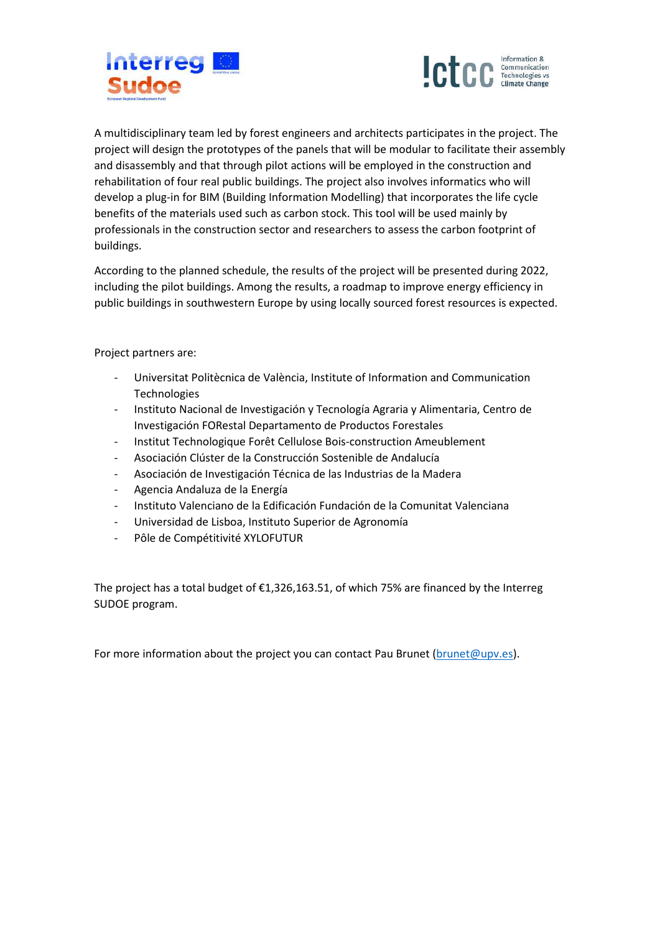



A multidisciplinary team led by forest engineers and architects participates in the project. The project will design the prototypes of the panels that will be modular to facilitate their assembly and disassembly and that through pilot actions will be employed in the construction and rehabilitation of four real public buildings. The project also involves informatics who will develop a plug-in for BIM (Building Information Modelling) that incorporates the life cycle benefits of the materials used such as carbon stock. This tool will be used mainly by professionals in the construction sector and researchers to assess the carbon footprint of buildings.

According to the planned schedule, the results of the project will be presented during 2022, including the pilot buildings. Among the results, a roadmap to improve energy efficiency in public buildings in southwestern Europe by using locally sourced forest resources is expected.

Project partners are:

- Universitat Politècnica de València, Institute of Information and Communication Technologies
- Instituto Nacional de Investigación y Tecnología Agraria y Alimentaria, Centro de Investigación FORestal Departamento de Productos Forestales
- Institut Technologique Forêt Cellulose Bois-construction Ameublement
- Asociación Clúster de la Construcción Sostenible de Andalucía
- Asociación de Investigación Técnica de las Industrias de la Madera
- Agencia Andaluza de la Energía
- Instituto Valenciano de la Edificación Fundación de la Comunitat Valenciana
- Universidad de Lisboa, Instituto Superior de Agronomía
- Pôle de Compétitivité XYLOFUTUR

The project has a total budget of  $£1,326,163.51$ , of which 75% are financed by the Interreg SUDOE program.

For more information about the project you can contact Pau Brunet [\(brunet@upv.es\)](mailto:brunet@upv.es).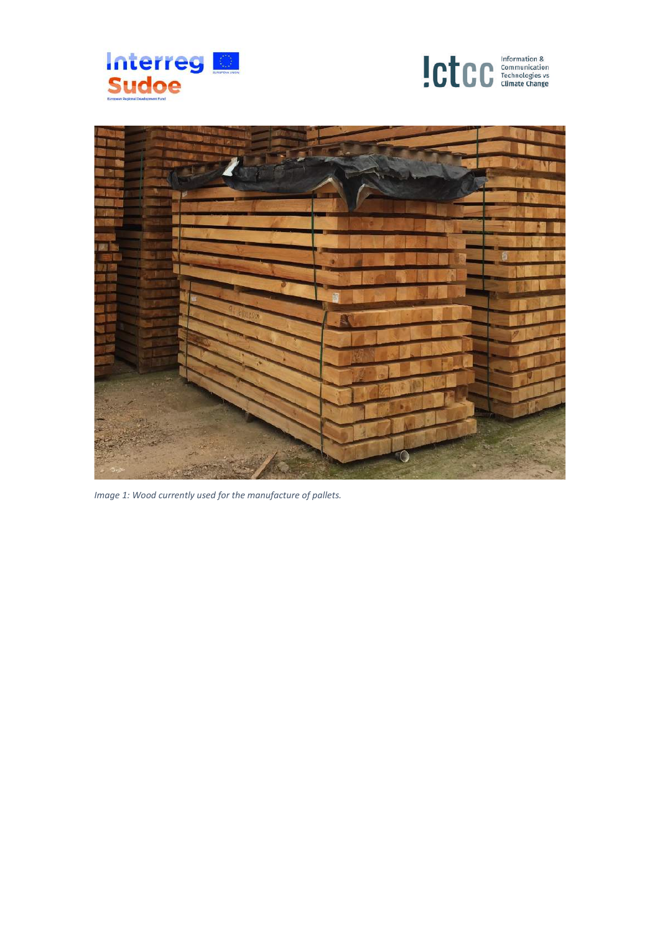





*Image 1: Wood currently used for the manufacture of pallets.*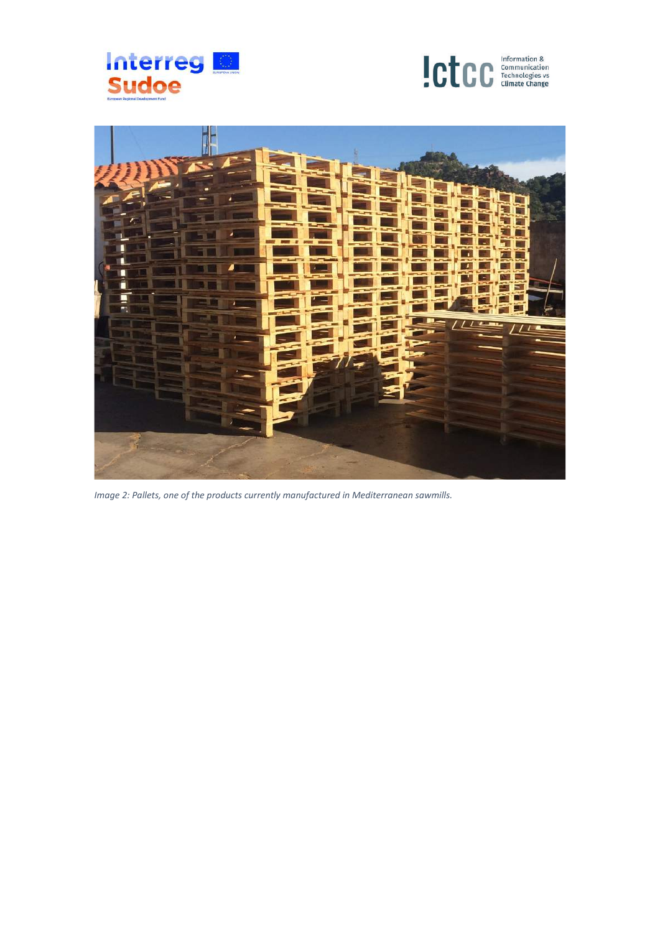





*Image 2: Pallets, one of the products currently manufactured in Mediterranean sawmills.*